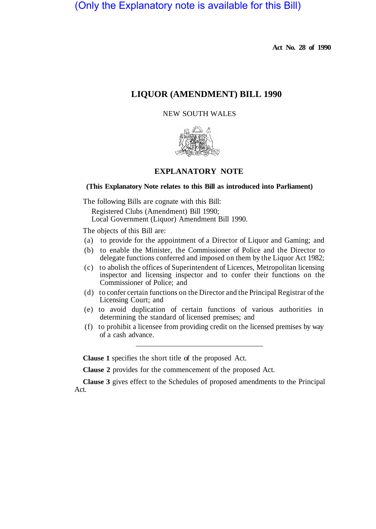(Only the Explanatory note is available for this Bill)

**Act No. 28 of 1990** 

# **LIQUOR (AMENDMENT) BILL 1990**

## NEW SOUTH WALES



# **EXPLANATORY NOTE**

### **(This Explanatory Note relates to this Bill as introduced into Parliament)**

The following Bills are cognate with this Bill:

Registered Clubs (Amendment) Bill 1990; Local Government (Liquor) Amendment Bill 1990.

The objects of this Bill are:

- (a) to provide for the appointment of a Director of Liquor and Gaming; and
- (b) to enable the Minister, the Commissioner of Police and the Director to delegate functions conferred and imposed on them by the Liquor Act 1982;
- (c) to abolish the offices of Superintendent of Licences, Metropolitan licensing inspector and licensing inspector and to confer their functions on the Commissioner of Police; and
- (d) to confer certain functions on the Director and the Principal Registrar of the Licensing Court; and
- (e) to avoid duplication of certain functions of various authorities in determining the standard of licensed premises; and
- (f) to prohibit a licensee from providing credit on the licensed premises by way of a cash advance.

**Clause 1** specifies the short title of the proposed Act.

**Clause 2** provides for the commencement of the proposed Act.

**Clause 3** gives effect to the Schedules of proposed amendments to the Principal Act.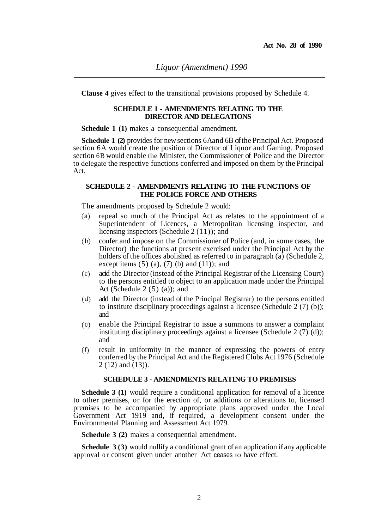**Clause 4** gives effect to the transitional provisions proposed by Schedule 4.

#### **SCHEDULE 1 - AMENDMENTS RELATING TO THE DIRECTOR AND DELEGATIONS**

**Schedule 1 (1)** makes a consequential amendment.

**Schedule 1 (2)** provides for new sections 6A and 6B of the Principal Act. Proposed section 6A would create the position of Director of Liquor and Gaming. Proposed section 6B would enable the Minister, the Commissioner of Police and the Director to delegate the respective functions conferred and imposed on them by the Principal Act.

### **SCHEDULE 2 - AMENDMENTS RELATING TO THE FUNCTIONS OF THE POLICE FORCE AND OTHERS**

The amendments proposed by Schedule 2 would:

- repeal so much of the Principal Act as relates to the appointment of a  $(a)$ Superintendent of Licences, a Metropolitan licensing inspector, and licensing inspectors (Schedule 2 (11)); and
- confer and impose on the Commissioner of Police (and, in some cases, the  $(b)$ Director) the functions at present exercised under the Principal Act by the holders of the offices abolished as referred to in paragraph (a) (Schedule 2, except items  $(5)$   $(a)$ ,  $(7)$   $(b)$  and  $(11)$ ; and
- acid the Director (instead of the Principal Registrar of the Licensing Court)  $(c)$ to the persons entitled to object to an application made under the Principal Act (Schedule  $2(5)(a)$ ); and
- add the Director (instead of the Principal Registrar) to the persons entitled  $(d)$ to institute disciplinary proceedings against a licensee (Schedule 2 (7) (b)); and
- enable the Principal Registrar to issue a summons to answer a complaint  $(c)$ instituting disciplinary proceedings against a licensee (Schedule 2  $(7)$  (d)); and
- result in uniformity in the manner of expressing the powers of entry  $(\Omega)$ conferred by the Principal Act and the Registered Clubs Act 1976 (Schedule 2 (12) and (13)).

### **SCHEDULE 3 - AMENDMENTS RELATING TO PREMISES**

**Schedule 3 (1)** would require a conditional application for removal of a licence to other premises, or for the erection of, or additions or alterations to, licensed premises to be accompanied by appropriate plans approved under the Local Government Act 1919 and, if required, a development consent under the Environrmental Planning and Assessment Act 1979.

**Schedule 3 (2)** makes a consequential amendment.

**Schedule 3 (3)** would nullify a conditional grant of an application **if** any applicable approval or consent given under another Act ceases to have effect.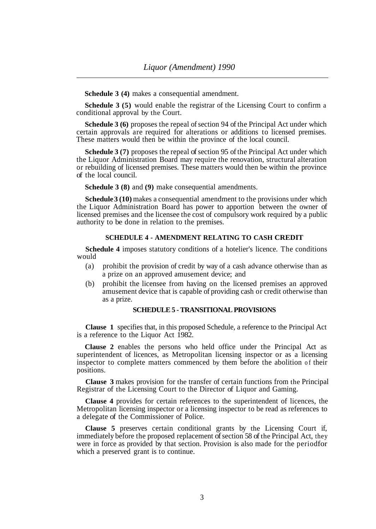**Schedule 3 (4)** makes a consequential amendment.

**Schedule 3 (5)** would enable the registrar of the Licensing Court to confirm a conditional approval by the Court.

**Schedule 3 (6)** proposes the repeal of section 94 of the Principal Act under which certain approvals are required for alterations or additions to licensed premises. These matters would then be within the province of the local council.

**Schedule 3 (7)** proposes the repeal of section 95 of the Principal Act under which the Liquor Administration Board may require the renovation, structural alteration or rebuilding of licensed premises. These matters would then be within the province of the local council.

**Schedule 3 (8)** and **(9)** make consequential amendments.

**Schedule 3 (10)** makes a consequential amendment to the provisions under which the Liquor Administration Board has power to apportion between the owner of licensed premises and the licensee the cost of compulsory work required by a public authority to be done in relation to the premises.

## **SCHEDULE 4 - AMENDMENT RELATING TO CASH CREDIT**

**Schedule 4** imposes statutory conditions of a hotelier's licence. The conditions would

- (a) prohibit the provision of credit by way of a cash advance otherwise than as a prize on an approved amusement device; and
- (b) prohibit the licensee from having on the licensed premises an approved amusement device that is capable of providing cash or credit otherwise than as a prize.

### **SCHEDULE 5 - TRANSITIONAL PROVISIONS**

**Clause 1** specifies that, in this proposed Schedule, a reference to the Principal Act is a reference to the Liquor Act 1982.

**Clause 2** enables the persons who held office under the Principal Act as superintendent of licences, as Metropolitan licensing inspector or as a licensing inspector to complete matters commenced by them before the abolition of their positions.

**Clause 3** makes provision for the transfer of certain functions from the Principal Registrar of the Licensing Court to the Director of Liquor and Gaming.

**Clause 4** provides for certain references to the superintendent of licences, the Metropolitan licensing inspector or a licensing inspector to be read as references to a delegate of the Commissioner of Police.

**Clause 5** preserves certain conditional grants by the Licensing Court if, immediately before the proposed replacement of section 58 of the Principal Act, they were in force as provided by that section. Provision is also made for the period for which a preserved grant is to continue.